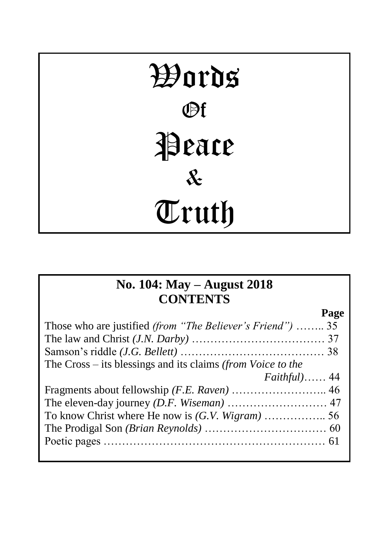# Words **Pf Peace** & Truth

## **No. 104: May – August 2018 CONTENTS**

**Page** Those who are justified *(from "The Believer's Friend")* …….. 35 The law and Christ *(J.N. Darby)* ……………………………… 37 Samson's riddle *(J.G. Bellett)* ………………………………… 38 The Cross – its blessings and its claims *(from Voice to the Faithful)*…… 44 Fragments about fellowship *(F.E. Raven)* …………………….. 46 The eleven-day journey *(D.F. Wiseman)* ……………………… 47 To know Christ where He now is *(G.V. Wigram)* …………….. 56 The Prodigal Son *(Brian Reynolds)* …………………………… 60 Poetic pages …………………………………………………… 61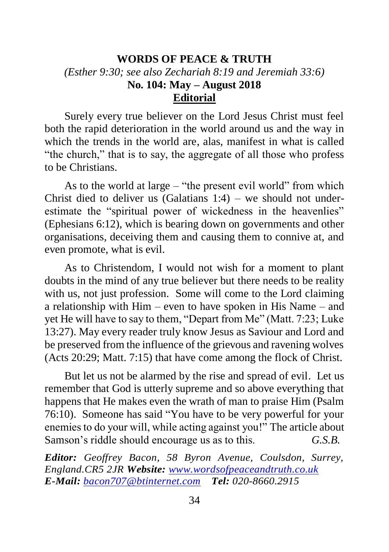## **WORDS OF PEACE & TRUTH** *(Esther 9:30; see also Zechariah 8:19 and Jeremiah 33:6)* **No. 104: May – August 2018 Editorial**

Surely every true believer on the Lord Jesus Christ must feel both the rapid deterioration in the world around us and the way in which the trends in the world are, alas, manifest in what is called "the church," that is to say, the aggregate of all those who profess to be Christians.

As to the world at large – "the present evil world" from which Christ died to deliver us (Galatians  $1:4$ ) – we should not underestimate the "spiritual power of wickedness in the heavenlies" (Ephesians 6:12), which is bearing down on governments and other organisations, deceiving them and causing them to connive at, and even promote, what is evil.

As to Christendom, I would not wish for a moment to plant doubts in the mind of any true believer but there needs to be reality with us, not just profession. Some will come to the Lord claiming a relationship with Him – even to have spoken in His Name – and yet He will have to say to them, "Depart from Me" (Matt. 7:23; Luke 13:27). May every reader truly know Jesus as Saviour and Lord and be preserved from the influence of the grievous and ravening wolves (Acts 20:29; Matt. 7:15) that have come among the flock of Christ.

But let us not be alarmed by the rise and spread of evil. Let us remember that God is utterly supreme and so above everything that happens that He makes even the wrath of man to praise Him (Psalm 76:10). Someone has said "You have to be very powerful for your enemies to do your will, while acting against you!" The article about Samson's riddle should encourage us as to this. *G.S.B.*

*Editor: Geoffrey Bacon, 58 Byron Avenue, Coulsdon, Surrey, England.CR5 2JR Website: [www.wordsofpeaceandtruth.co.uk](http://www.wordsofpeaceandtruth.co.uk/) E-Mail: [bacon707@btinternet.com](mailto:bacon707@btinternet.com) Tel: 020-8660.2915*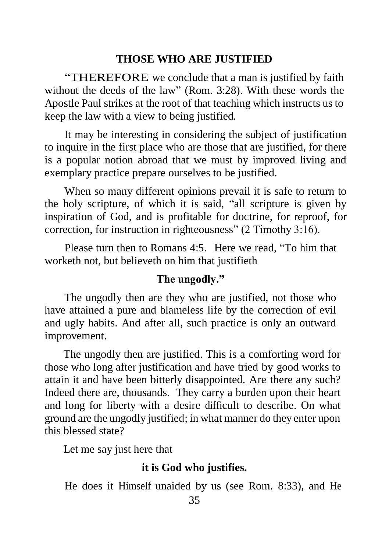#### **THOSE WHO ARE JUSTIFIED**

"THEREFORE we conclude that a man is justified by faith without the deeds of the law" (Rom. 3:28). With these words the Apostle Paul strikes at the root of that teaching which instructs us to keep the law with a view to being justified.

It may be interesting in considering the subject of justification to inquire in the first place who are those that are justified, for there is a popular notion abroad that we must by improved living and exemplary practice prepare ourselves to be justified.

When so many different opinions prevail it is safe to return to the holy scripture, of which it is said, "all scripture is given by inspiration of God, and is profitable for doctrine, for reproof, for correction, for instruction in righteousness" (2 Timothy 3:16).

Please turn then to Romans 4:5. Here we read, "To him that worketh not, but believeth on him that justifieth

#### **The ungodly."**

The ungodly then are they who are justified, not those who have attained a pure and blameless life by the correction of evil and ugly habits. And after all, such practice is only an outward improvement.

The ungodly then are justified. This is a comforting word for those who long after justification and have tried by good works to attain it and have been bitterly disappointed. Are there any such? Indeed there are, thousands. They carry a burden upon their heart and long for liberty with a desire difficult to describe. On what ground are the ungodly justified; in what manner do they enter upon this blessed state?

Let me say just here that

## **it is God who justifies.**

He does it Himself unaided by us (see Rom. 8:33), and He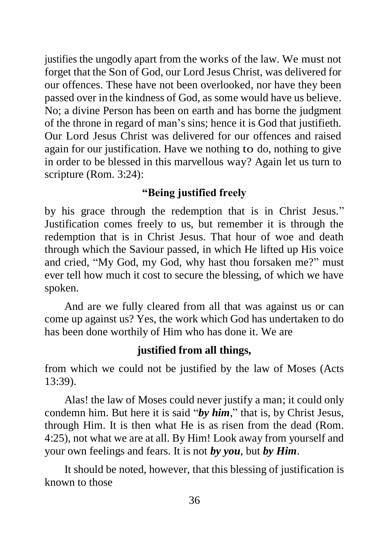justifies the ungodly apart from the works of the law. We must not forget that the Son of God, our Lord Jesus Christ, was delivered for our offences. These have not been overlooked, nor have they been passed over in the kindness of God, as some would have us believe. No; a divine Person has been on earth and has borne the judgment of the throne in regard of man's sins; hence it is God that justifieth. Our Lord Jesus Christ was delivered for our offences and raised again for our justification. Have we nothing to do, nothing to give in order to be blessed in this marvellous way? Again let us turn to scripture (Rom. 3:24):

## **"Being justified freely**

by his grace through the redemption that is in Christ Jesus." Justification comes freely to us, but remember it is through the redemption that is in Christ Jesus. That hour of woe and death through which the Saviour passed, in which He lifted up His voice and cried, "My God, my God, why hast thou forsaken me?" must ever tell how much it cost to secure the blessing, of which we have spoken.

And are we fully cleared from all that was against us or can come up against us? Yes, the work which God has undertaken to do has been done worthily of Him who has done it. We are

## **justified from all things,**

from which we could not be justified by the law of Moses (Acts 13:39).

Alas! the law of Moses could never justify a man; it could only condemn him. But here it is said "*by him*," that is, by Christ Jesus, through Him. It is then what He is as risen from the dead (Rom. 4:25), not what we are at all. By Him! Look away from yourself and your own feelings and fears. It is not *by you*, but *by Him*.

It should be noted, however, that this blessing of justification is known to those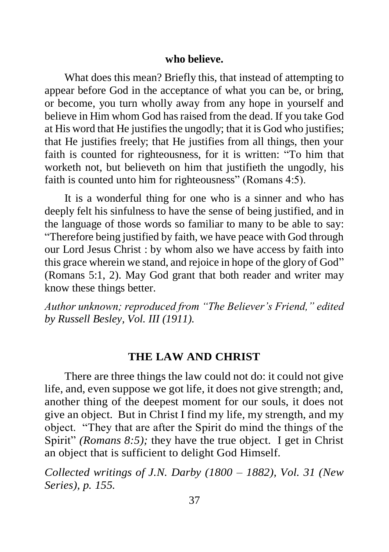#### **who believe.**

What does this mean? Briefly this, that instead of attempting to appear before God in the acceptance of what you can be, or bring, or become, you turn wholly away from any hope in yourself and believe in Him whom God has raised from the dead. If you take God at His word that He justifies the ungodly; that it is God who justifies; that He justifies freely; that He justifies from all things, then your faith is counted for righteousness, for it is written: "To him that worketh not, but believeth on him that justifieth the ungodly, his faith is counted unto him for righteousness" (Romans 4:5).

It is a wonderful thing for one who is a sinner and who has deeply felt his sinfulness to have the sense of being justified, and in the language of those words so familiar to many to be able to say: "Therefore being justified by faith, we have peace with God through our Lord Jesus Christ : by whom also we have access by faith into this grace wherein we stand, and rejoice in hope of the glory of God" (Romans 5:1, 2). May God grant that both reader and writer may know these things better.

*Author unknown; reproduced from "The Believer's Friend," edited by Russell Besley, Vol. III (1911).* 

#### **THE LAW AND CHRIST**

There are three things the law could not do: it could not give life, and, even suppose we got life, it does not give strength; and, another thing of the deepest moment for our souls, it does not give an object. But in Christ I find my life, my strength, and my object. "They that are after the Spirit do mind the things of the Spirit" *(Romans 8:5)*; they have the true object. I get in Christ an object that is sufficient to delight God Himself.

*Collected writings of J.N. Darby (1800 – 1882), Vol. 31 (New Series), p. 155.*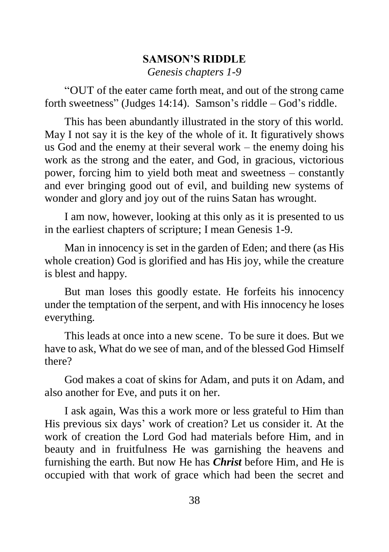## **SAMSON'S RIDDLE** *Genesis chapters 1-9*

"OUT of the eater came forth meat, and out of the strong came forth sweetness" (Judges 14:14). Samson's riddle – God's riddle.

This has been abundantly illustrated in the story of this world. May I not say it is the key of the whole of it. It figuratively shows us God and the enemy at their several work – the enemy doing his work as the strong and the eater, and God, in gracious, victorious power, forcing him to yield both meat and sweetness – constantly and ever bringing good out of evil, and building new systems of wonder and glory and joy out of the ruins Satan has wrought.

I am now, however, looking at this only as it is presented to us in the earliest chapters of scripture; I mean Genesis 1-9.

Man in innocency is set in the garden of Eden; and there (as His whole creation) God is glorified and has His joy, while the creature is blest and happy.

But man loses this goodly estate. He forfeits his innocency under the temptation of the serpent, and with His innocency he loses everything.

This leads at once into a new scene. To be sure it does. But we have to ask, What do we see of man, and of the blessed God Himself there?

God makes a coat of skins for Adam, and puts it on Adam, and also another for Eve, and puts it on her.

I ask again, Was this a work more or less grateful to Him than His previous six days' work of creation? Let us consider it. At the work of creation the Lord God had materials before Him, and in beauty and in fruitfulness He was garnishing the heavens and furnishing the earth. But now He has *Christ* before Him, and He is occupied with that work of grace which had been the secret and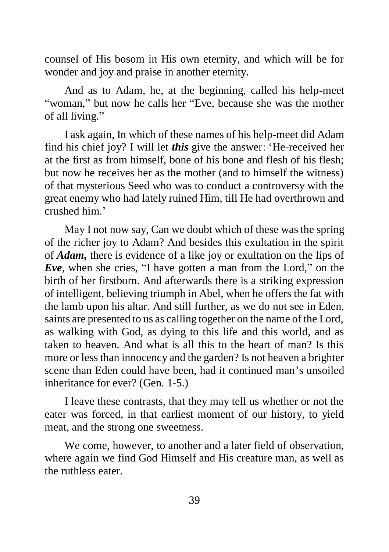counsel of His bosom in His own eternity, and which will be for wonder and joy and praise in another eternity.

And as to Adam, he, at the beginning, called his help-meet "woman," but now he calls her "Eve, because she was the mother of all living."

I ask again, In which of these names of his help-meet did Adam find his chief joy? I will let *this* give the answer: 'He-received her at the first as from himself, bone of his bone and flesh of his flesh; but now he receives her as the mother (and to himself the witness) of that mysterious Seed who was to conduct a controversy with the great enemy who had lately ruined Him, till He had overthrown and crushed him.'

May I not now say, Can we doubt which of these was the spring of the richer joy to Adam? And besides this exultation in the spirit of *Adam,* there is evidence of a like joy or exultation on the lips of *Eve*, when she cries, "I have gotten a man from the Lord," on the birth of her firstborn. And afterwards there is a striking expression of intelligent, believing triumph in Abel, when he offers the fat with the lamb upon his altar. And still further, as we do not see in Eden, saints are presented to us as calling together on the name of the Lord, as walking with God, as dying to this life and this world, and as taken to heaven. And what is all this to the heart of man? Is this more or less than innocency and the garden? Is not heaven a brighter scene than Eden could have been, had it continued man's unsoiled inheritance for ever? (Gen. 1-5.)

I leave these contrasts, that they may tell us whether or not the eater was forced, in that earliest moment of our history, to yield meat, and the strong one sweetness.

We come, however, to another and a later field of observation, where again we find God Himself and His creature man, as well as the ruthless eater.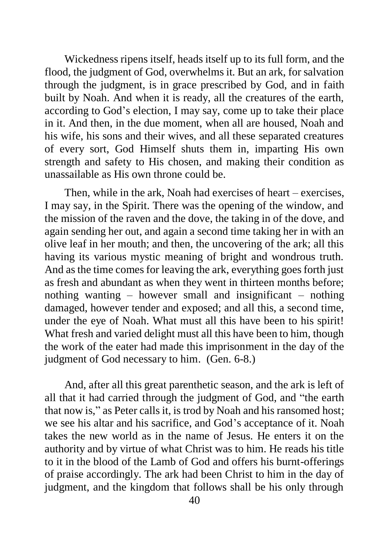Wickedness ripens itself, heads itself up to its full form, and the flood, the judgment of God, overwhelms it. But an ark, for salvation through the judgment, is in grace prescribed by God, and in faith built by Noah. And when it is ready, all the creatures of the earth, according to God's election, I may say, come up to take their place in it. And then, in the due moment, when all are housed, Noah and his wife, his sons and their wives, and all these separated creatures of every sort, God Himself shuts them in, imparting His own strength and safety to His chosen, and making their condition as unassailable as His own throne could be.

Then, while in the ark, Noah had exercises of heart – exercises, I may say, in the Spirit. There was the opening of the window, and the mission of the raven and the dove, the taking in of the dove, and again sending her out, and again a second time taking her in with an olive leaf in her mouth; and then, the uncovering of the ark; all this having its various mystic meaning of bright and wondrous truth. And as the time comes for leaving the ark, everything goes forth just as fresh and abundant as when they went in thirteen months before; nothing wanting – however small and insignificant – nothing damaged, however tender and exposed; and all this, a second time, under the eye of Noah. What must all this have been to his spirit! What fresh and varied delight must all this have been to him, though the work of the eater had made this imprisonment in the day of the judgment of God necessary to him. (Gen. 6-8.)

And, after all this great parenthetic season, and the ark is left of all that it had carried through the judgment of God, and "the earth that now is," as Peter calls it, is trod by Noah and his ransomed host; we see his altar and his sacrifice, and God's acceptance of it. Noah takes the new world as in the name of Jesus. He enters it on the authority and by virtue of what Christ was to him. He reads his title to it in the blood of the Lamb of God and offers his burnt-offerings of praise accordingly. The ark had been Christ to him in the day of judgment, and the kingdom that follows shall be his only through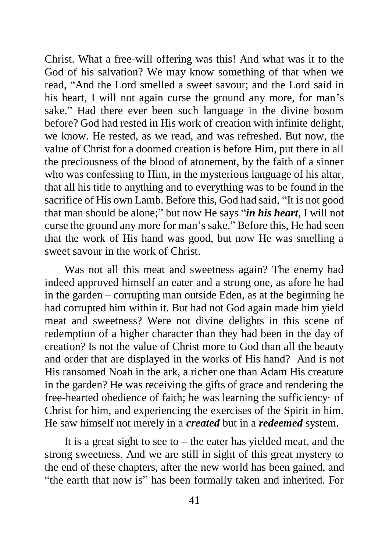Christ. What a free-will offering was this! And what was it to the God of his salvation? We may know something of that when we read, "And the Lord smelled a sweet savour; and the Lord said in his heart, I will not again curse the ground any more, for man's sake." Had there ever been such language in the divine bosom before? God had rested in His work of creation with infinite delight, we know. He rested, as we read, and was refreshed. But now, the value of Christ for a doomed creation is before Him, put there in all the preciousness of the blood of atonement, by the faith of a sinner who was confessing to Him, in the mysterious language of his altar, that all his title to anything and to everything was to be found in the sacrifice of His own Lamb. Before this, God had said, "It is not good that man should be alone;" but now He says "*in his heart*, I will not curse the ground any more for man's sake." Before this, He had seen that the work of His hand was good, but now He was smelling a sweet savour in the work of Christ.

Was not all this meat and sweetness again? The enemy had indeed approved himself an eater and a strong one, as afore he had in the garden – corrupting man outside Eden, as at the beginning he had corrupted him within it. But had not God again made him yield meat and sweetness? Were not divine delights in this scene of redemption of a higher character than they had been in the day of creation? Is not the value of Christ more to God than all the beauty and order that are displayed in the works of His hand? And is not His ransomed Noah in the ark, a richer one than Adam His creature in the garden? He was receiving the gifts of grace and rendering the free-hearted obedience of faith; he was learning the sufficiency· of Christ for him, and experiencing the exercises of the Spirit in him. He saw himself not merely in a *created* but in a *redeemed* system.

It is a great sight to see to  $-$  the eater has yielded meat, and the strong sweetness. And we are still in sight of this great mystery to the end of these chapters, after the new world has been gained, and "the earth that now is" has been formally taken and inherited. For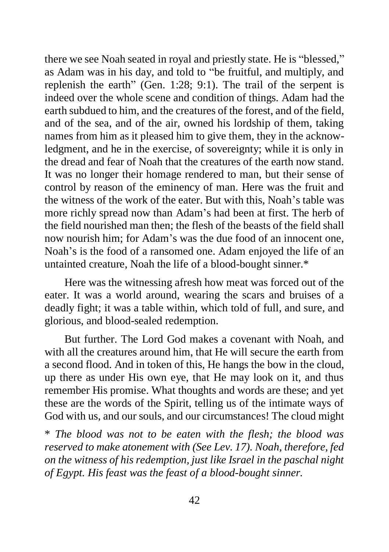there we see Noah seated in royal and priestly state. He is "blessed," as Adam was in his day, and told to "be fruitful, and multiply, and replenish the earth" (Gen. 1:28; 9:1). The trail of the serpent is indeed over the whole scene and condition of things. Adam had the earth subdued to him, and the creatures of the forest, and of the field, and of the sea, and of the air, owned his lordship of them, taking names from him as it pleased him to give them, they in the acknowledgment, and he in the exercise, of sovereignty; while it is only in the dread and fear of Noah that the creatures of the earth now stand. It was no longer their homage rendered to man, but their sense of control by reason of the eminency of man. Here was the fruit and the witness of the work of the eater. But with this, Noah's table was more richly spread now than Adam's had been at first. The herb of the field nourished man then; the flesh of the beasts of the field shall now nourish him; for Adam's was the due food of an innocent one, Noah's is the food of a ransomed one. Adam enjoyed the life of an untainted creature, Noah the life of a blood-bought sinner.\*

Here was the witnessing afresh how meat was forced out of the eater. It was a world around, wearing the scars and bruises of a deadly fight; it was a table within, which told of full, and sure, and glorious, and blood-sealed redemption.

But further. The Lord God makes a covenant with Noah, and with all the creatures around him, that He will secure the earth from a second flood. And in token of this, He hangs the bow in the cloud, up there as under His own eye, that He may look on it, and thus remember His promise. What thoughts and words are these; and yet these are the words of the Spirit, telling us of the intimate ways of God with us, and our souls, and our circumstances! The cloud might

\* *The blood was not to be eaten with the flesh; the blood was reserved to make atonement with (See Lev. 17). Noah, therefore, fed on the witness of his redemption, just like Israel in the paschal night of Egypt. His feast was the feast of a blood-bought sinner.*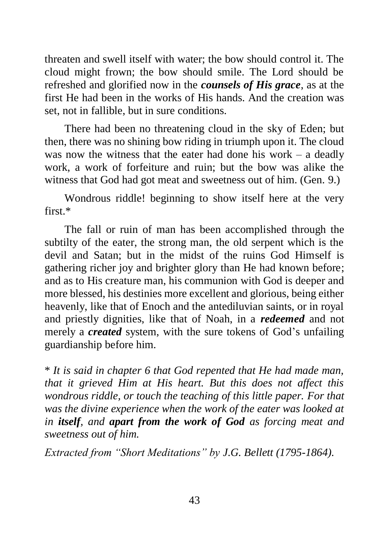threaten and swell itself with water; the bow should control it. The cloud might frown; the bow should smile. The Lord should be refreshed and glorified now in the *counsels of His grace*, as at the first He had been in the works of His hands. And the creation was set, not in fallible, but in sure conditions.

There had been no threatening cloud in the sky of Eden; but then, there was no shining bow riding in triumph upon it. The cloud was now the witness that the eater had done his work – a deadly work, a work of forfeiture and ruin; but the bow was alike the witness that God had got meat and sweetness out of him. (Gen. 9.)

Wondrous riddle! beginning to show itself here at the very first  $*$ 

The fall or ruin of man has been accomplished through the subtilty of the eater, the strong man, the old serpent which is the devil and Satan; but in the midst of the ruins God Himself is gathering richer joy and brighter glory than He had known before; and as to His creature man, his communion with God is deeper and more blessed, his destinies more excellent and glorious, being either heavenly, like that of Enoch and the antediluvian saints, or in royal and priestly dignities, like that of Noah, in a *redeemed* and not merely a *created* system, with the sure tokens of God's unfailing guardianship before him.

\* *It is said in chapter 6 that God repented that He had made man, that it grieved Him at His heart. But this does not affect this wondrous riddle, or touch the teaching of this little paper. For that was the divine experience when the work of the eater was looked at in itself, and apart from the work of God as forcing meat and sweetness out of him.*

*Extracted from "Short Meditations" by J.G. Bellett (1795-1864).*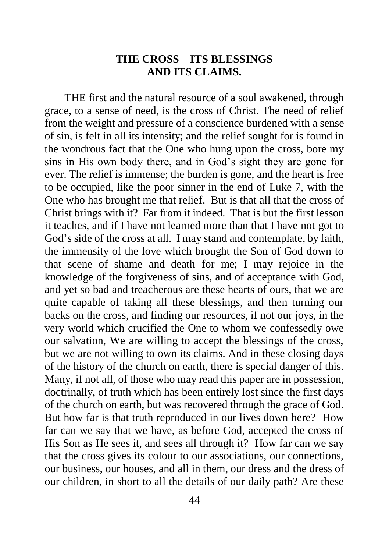## **THE CROSS – ITS BLESSINGS AND ITS CLAIMS.**

THE first and the natural resource of a soul awakened, through grace, to a sense of need, is the cross of Christ. The need of relief from the weight and pressure of a conscience burdened with a sense of sin, is felt in all its intensity; and the relief sought for is found in the wondrous fact that the One who hung upon the cross, bore my sins in His own body there, and in God's sight they are gone for ever. The relief is immense; the burden is gone, and the heart is free to be occupied, like the poor sinner in the end of Luke 7, with the One who has brought me that relief. But is that all that the cross of Christ brings with it? Far from it indeed. That is but the first lesson it teaches, and if I have not learned more than that I have not got to God's side of the cross at all. I may stand and contemplate, by faith, the immensity of the love which brought the Son of God down to that scene of shame and death for me; I may rejoice in the knowledge of the forgiveness of sins, and of acceptance with God, and yet so bad and treacherous are these hearts of ours, that we are quite capable of taking all these blessings, and then turning our backs on the cross, and finding our resources, if not our joys, in the very world which crucified the One to whom we confessedly owe our salvation, We are willing to accept the blessings of the cross, but we are not willing to own its claims. And in these closing days of the history of the church on earth, there is special danger of this. Many, if not all, of those who may read this paper are in possession, doctrinally, of truth which has been entirely lost since the first days of the church on earth, but was recovered through the grace of God. But how far is that truth reproduced in our lives down here? How far can we say that we have, as before God, accepted the cross of His Son as He sees it, and sees all through it? How far can we say that the cross gives its colour to our associations, our connections, our business, our houses, and all in them, our dress and the dress of our children, in short to all the details of our daily path? Are these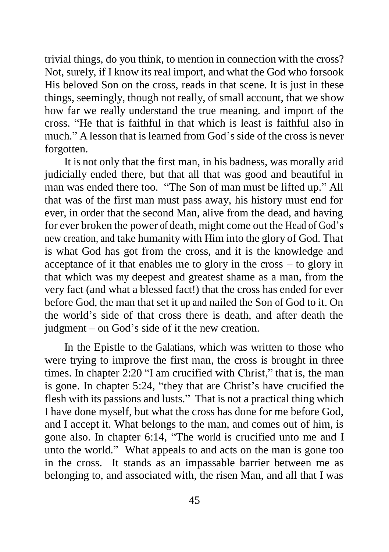trivial things, do you think, to mention in connection with the cross? Not, surely, if I know its real import, and what the God who forsook His beloved Son on the cross, reads in that scene. It is just in these things, seemingly, though not really, of small account, that we show how far we really understand the true meaning. and import of the cross. "He that is faithful in that which is least is faithful also in much." A lesson that is learned from God's side of the cross is never forgotten.

It is not only that the first man, in his badness, was morally arid judicially ended there, but that all that was good and beautiful in man was ended there too. "The Son of man must be lifted up." All that was of the first man must pass away, his history must end for ever, in order that the second Man, alive from the dead, and having for ever broken the power of death, might come out the Head of God's new creation, and take humanity with Him into the glory of God. That is what God has got from the cross, and it is the knowledge and acceptance of it that enables me to glory in the cross – to glory in that which was my deepest and greatest shame as a man, from the very fact (and what a blessed fact!) that the cross has ended for ever before God, the man that set it up and nailed the Son of God to it. On the world's side of that cross there is death, and after death the judgment – on God's side of it the new creation.

In the Epistle to the Galatians, which was written to those who were trying to improve the first man, the cross is brought in three times. In chapter 2:20 "I am crucified with Christ," that is, the man is gone. In chapter 5:24, "they that are Christ's have crucified the flesh with its passions and lusts." That is not a practical thing which I have done myself, but what the cross has done for me before God, and I accept it. What belongs to the man, and comes out of him, is gone also. In chapter 6:14, "The world is crucified unto me and I unto the world." What appeals to and acts on the man is gone too in the cross. It stands as an impassable barrier between me as belonging to, and associated with, the risen Man, and all that I was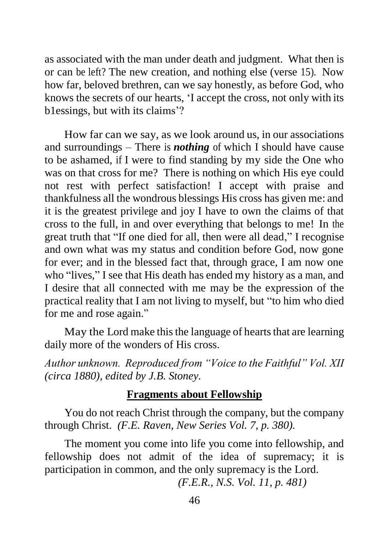as associated with the man under death and judgment. What then is or can be left? The new creation, and nothing else (verse 15). Now how far, beloved brethren, can we say honestly, as before God, who knows the secrets of our hearts, 'I accept the cross, not only with its b1essings, but with its claims'?

How far can we say, as we look around us, in our associations and surroundings – There is *nothing* of which I should have cause to be ashamed, if I were to find standing by my side the One who was on that cross for me? There is nothing on which His eye could not rest with perfect satisfaction! I accept with praise and thankfulness all the wondrous blessings His cross has given me: and it is the greatest privilege and joy I have to own the claims of that cross to the full, in and over everything that belongs to me! In the great truth that "If one died for all, then were all dead," I recognise and own what was my status and condition before God, now gone for ever; and in the blessed fact that, through grace, I am now one who "lives," I see that His death has ended my history as a man, and I desire that all connected with me may be the expression of the practical reality that I am not living to myself, but "to him who died for me and rose again."

May the Lord make this the language of hearts that are learning daily more of the wonders of His cross.

*Author unknown. Reproduced from "Voice to the Faithful" Vol. XII (circa 1880), edited by J.B. Stoney.*

#### **Fragments about Fellowship**

You do not reach Christ through the company, but the company through Christ. *(F.E. Raven, New Series Vol. 7, p. 380).*

The moment you come into life you come into fellowship, and fellowship does not admit of the idea of supremacy; it is participation in common, and the only supremacy is the Lord.

*(F.E.R., N.S. Vol. 11, p. 481)*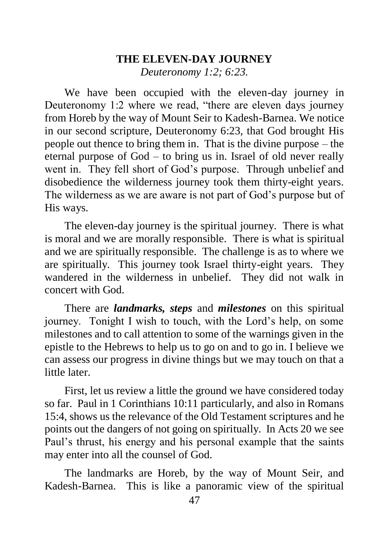## **THE ELEVEN-DAY JOURNEY** *Deuteronomy 1:2; 6:23.*

We have been occupied with the eleven-day journey in Deuteronomy 1:2 where we read, "there are eleven days journey from Horeb by the way of Mount Seir to Kadesh-Barnea. We notice in our second scripture, Deuteronomy 6:23, that God brought His people out thence to bring them in. That is the divine purpose – the eternal purpose of God – to bring us in. Israel of old never really went in. They fell short of God's purpose. Through unbelief and disobedience the wilderness journey took them thirty-eight years. The wilderness as we are aware is not part of God's purpose but of His ways.

The eleven-day journey is the spiritual journey. There is what is moral and we are morally responsible. There is what is spiritual and we are spiritually responsible. The challenge is as to where we are spiritually. This journey took Israel thirty-eight years. They wandered in the wilderness in unbelief. They did not walk in concert with God.

There are *landmarks, steps* and *milestones* on this spiritual journey. Tonight I wish to touch, with the Lord's help, on some milestones and to call attention to some of the warnings given in the epistle to the Hebrews to help us to go on and to go in. I believe we can assess our progress in divine things but we may touch on that a little later.

First, let us review a little the ground we have considered today so far. Paul in 1 Corinthians 10:11 particularly, and also in Romans 15:4, shows us the relevance of the Old Testament scriptures and he points out the dangers of not going on spiritually. In Acts 20 we see Paul's thrust, his energy and his personal example that the saints may enter into all the counsel of God.

The landmarks are Horeb, by the way of Mount Seir, and Kadesh-Barnea. This is like a panoramic view of the spiritual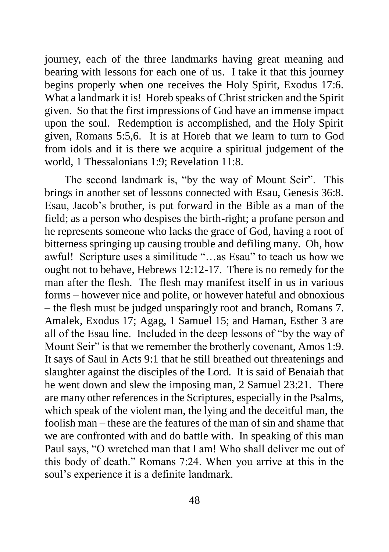journey, each of the three landmarks having great meaning and bearing with lessons for each one of us. I take it that this journey begins properly when one receives the Holy Spirit, Exodus 17:6. What a landmark it is! Horeb speaks of Christ stricken and the Spirit given. So that the first impressions of God have an immense impact upon the soul. Redemption is accomplished, and the Holy Spirit given, Romans 5:5,6. It is at Horeb that we learn to turn to God from idols and it is there we acquire a spiritual judgement of the world, 1 Thessalonians 1:9; Revelation 11:8.

The second landmark is, "by the way of Mount Seir". This brings in another set of lessons connected with Esau, Genesis 36:8. Esau, Jacob's brother, is put forward in the Bible as a man of the field; as a person who despises the birth-right; a profane person and he represents someone who lacks the grace of God, having a root of bitterness springing up causing trouble and defiling many. Oh, how awful! Scripture uses a similitude "…as Esau" to teach us how we ought not to behave, Hebrews 12:12-17. There is no remedy for the man after the flesh. The flesh may manifest itself in us in various forms – however nice and polite, or however hateful and obnoxious – the flesh must be judged unsparingly root and branch, Romans 7. Amalek, Exodus 17; Agag, 1 Samuel 15; and Haman, Esther 3 are all of the Esau line. Included in the deep lessons of "by the way of Mount Seir" is that we remember the brotherly covenant, Amos 1:9. It says of Saul in Acts 9:1 that he still breathed out threatenings and slaughter against the disciples of the Lord. It is said of Benaiah that he went down and slew the imposing man, 2 Samuel 23:21. There are many other references in the Scriptures, especially in the Psalms, which speak of the violent man, the lying and the deceitful man, the foolish man – these are the features of the man of sin and shame that we are confronted with and do battle with. In speaking of this man Paul says, "O wretched man that I am! Who shall deliver me out of this body of death." Romans 7:24. When you arrive at this in the soul's experience it is a definite landmark.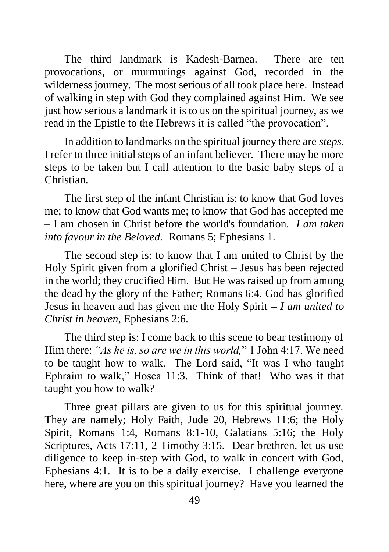The third landmark is Kadesh-Barnea. There are ten provocations, or murmurings against God, recorded in the wilderness journey. The most serious of all took place here. Instead of walking in step with God they complained against Him. We see just how serious a landmark it is to us on the spiritual journey, as we read in the Epistle to the Hebrews it is called "the provocation".

In addition to landmarks on the spiritual journey there are *steps*. I refer to three initial steps of an infant believer. There may be more steps to be taken but I call attention to the basic baby steps of a Christian.

The first step of the infant Christian is: to know that God loves me; to know that God wants me; to know that God has accepted me – I am chosen in Christ before the world's foundation. *I am taken into favour in the Beloved.* Romans 5; Ephesians 1.

The second step is: to know that I am united to Christ by the Holy Spirit given from a glorified Christ – Jesus has been rejected in the world; they crucified Him. But He was raised up from among the dead by the glory of the Father; Romans 6:4. God has glorified Jesus in heaven and has given me the Holy Spirit *– I am united to Christ in heaven,* Ephesians 2:6.

The third step is: I come back to this scene to bear testimony of Him there: *"As he is, so are we in this world,*" 1 John 4:17. We need to be taught how to walk. The Lord said, "It was I who taught Ephraim to walk," Hosea 11:3. Think of that! Who was it that taught you how to walk?

Three great pillars are given to us for this spiritual journey. They are namely; Holy Faith, Jude 20, Hebrews 11:6; the Holy Spirit, Romans 1:4, Romans 8:1-10, Galatians 5:16; the Holy Scriptures, Acts 17:11, 2 Timothy 3:15. Dear brethren, let us use diligence to keep in-step with God, to walk in concert with God, Ephesians 4:1. It is to be a daily exercise. I challenge everyone here, where are you on this spiritual journey? Have you learned the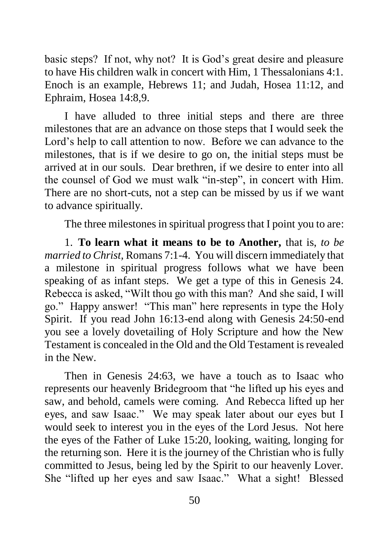basic steps? If not, why not? It is God's great desire and pleasure to have His children walk in concert with Him, 1 Thessalonians 4:1. Enoch is an example, Hebrews 11; and Judah, Hosea 11:12, and Ephraim, Hosea 14:8,9.

I have alluded to three initial steps and there are three milestones that are an advance on those steps that I would seek the Lord's help to call attention to now. Before we can advance to the milestones, that is if we desire to go on, the initial steps must be arrived at in our souls. Dear brethren, if we desire to enter into all the counsel of God we must walk "in-step", in concert with Him. There are no short-cuts, not a step can be missed by us if we want to advance spiritually.

The three milestones in spiritual progress that I point you to are:

1. **To learn what it means to be to Another,** that is, *to be married to Christ,* Romans 7:1-4. You will discern immediately that a milestone in spiritual progress follows what we have been speaking of as infant steps. We get a type of this in Genesis 24. Rebecca is asked, "Wilt thou go with this man? And she said, I will go." Happy answer! "This man" here represents in type the Holy Spirit. If you read John 16:13-end along with Genesis 24:50-end you see a lovely dovetailing of Holy Scripture and how the New Testament is concealed in the Old and the Old Testament is revealed in the New.

Then in Genesis 24:63, we have a touch as to Isaac who represents our heavenly Bridegroom that "he lifted up his eyes and saw, and behold, camels were coming. And Rebecca lifted up her eyes, and saw Isaac." We may speak later about our eyes but I would seek to interest you in the eyes of the Lord Jesus. Not here the eyes of the Father of Luke 15:20, looking, waiting, longing for the returning son. Here it is the journey of the Christian who is fully committed to Jesus, being led by the Spirit to our heavenly Lover. She "lifted up her eyes and saw Isaac." What a sight! Blessed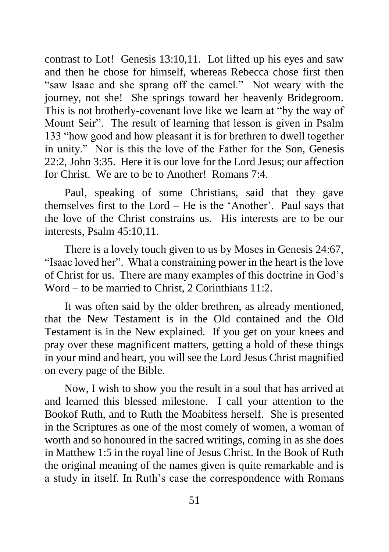contrast to Lot! Genesis 13:10,11. Lot lifted up his eyes and saw and then he chose for himself, whereas Rebecca chose first then "saw Isaac and she sprang off the camel." Not weary with the journey, not she! She springs toward her heavenly Bridegroom. This is not brotherly-covenant love like we learn at "by the way of Mount Seir". The result of learning that lesson is given in Psalm 133 "how good and how pleasant it is for brethren to dwell together in unity." Nor is this the love of the Father for the Son, Genesis 22:2, John 3:35. Here it is our love for the Lord Jesus; our affection for Christ. We are to be to Another! Romans 7:4.

Paul, speaking of some Christians, said that they gave themselves first to the Lord – He is the 'Another'. Paul says that the love of the Christ constrains us. His interests are to be our interests, Psalm 45:10,11.

There is a lovely touch given to us by Moses in Genesis 24:67, "Isaac loved her". What a constraining power in the heart is the love of Christ for us. There are many examples of this doctrine in God's Word – to be married to Christ, 2 Corinthians 11:2.

It was often said by the older brethren, as already mentioned, that the New Testament is in the Old contained and the Old Testament is in the New explained. If you get on your knees and pray over these magnificent matters, getting a hold of these things in your mind and heart, you will see the Lord Jesus Christ magnified on every page of the Bible.

Now, I wish to show you the result in a soul that has arrived at and learned this blessed milestone. I call your attention to the Bookof Ruth, and to Ruth the Moabitess herself. She is presented in the Scriptures as one of the most comely of women, a woman of worth and so honoured in the sacred writings, coming in as she does in Matthew 1:5 in the royal line of Jesus Christ. In the Book of Ruth the original meaning of the names given is quite remarkable and is a study in itself. In Ruth's case the correspondence with Romans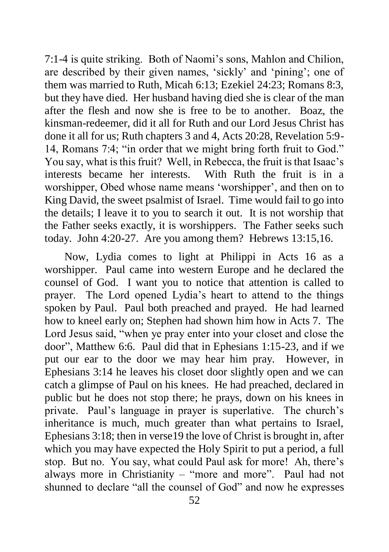7:1-4 is quite striking. Both of Naomi's sons, Mahlon and Chilion, are described by their given names, 'sickly' and 'pining'; one of them was married to Ruth, Micah 6:13; Ezekiel 24:23; Romans 8:3, but they have died. Her husband having died she is clear of the man after the flesh and now she is free to be to another. Boaz, the kinsman-redeemer, did it all for Ruth and our Lord Jesus Christ has done it all for us; Ruth chapters 3 and 4, Acts 20:28, Revelation 5:9- 14, Romans 7:4; "in order that we might bring forth fruit to God." You say, what is this fruit? Well, in Rebecca, the fruit is that Isaac's interests became her interests. With Ruth the fruit is in a worshipper, Obed whose name means 'worshipper', and then on to King David, the sweet psalmist of Israel. Time would fail to go into the details; I leave it to you to search it out. It is not worship that the Father seeks exactly, it is worshippers. The Father seeks such today. John 4:20-27. Are you among them? Hebrews 13:15,16.

Now, Lydia comes to light at Philippi in Acts 16 as a worshipper. Paul came into western Europe and he declared the counsel of God. I want you to notice that attention is called to prayer. The Lord opened Lydia's heart to attend to the things spoken by Paul. Paul both preached and prayed. He had learned how to kneel early on; Stephen had shown him how in Acts 7. The Lord Jesus said, "when ye pray enter into your closet and close the door", Matthew 6:6. Paul did that in Ephesians 1:15-23, and if we put our ear to the door we may hear him pray. However, in Ephesians 3:14 he leaves his closet door slightly open and we can catch a glimpse of Paul on his knees. He had preached, declared in public but he does not stop there; he prays, down on his knees in private. Paul's language in prayer is superlative. The church's inheritance is much, much greater than what pertains to Israel, Ephesians 3:18; then in verse19 the love of Christ is brought in, after which you may have expected the Holy Spirit to put a period, a full stop. But no. You say, what could Paul ask for more! Ah, there's always more in Christianity – "more and more". Paul had not shunned to declare "all the counsel of God" and now he expresses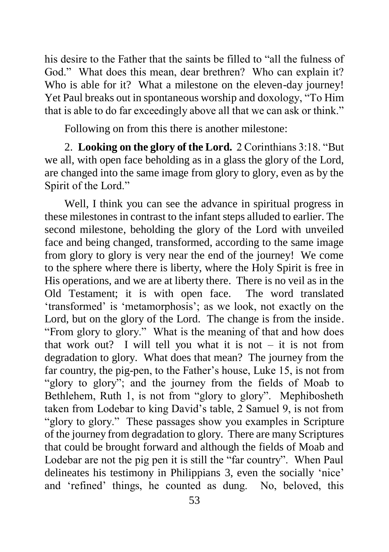his desire to the Father that the saints be filled to "all the fulness of God." What does this mean, dear brethren? Who can explain it? Who is able for it? What a milestone on the eleven-day journey! Yet Paul breaks out in spontaneous worship and doxology, "To Him that is able to do far exceedingly above all that we can ask or think."

Following on from this there is another milestone:

2. **Looking on the glory of the Lord.** 2 Corinthians 3:18. "But we all, with open face beholding as in a glass the glory of the Lord, are changed into the same image from glory to glory, even as by the Spirit of the Lord."

Well, I think you can see the advance in spiritual progress in these milestones in contrast to the infant steps alluded to earlier. The second milestone, beholding the glory of the Lord with unveiled face and being changed, transformed, according to the same image from glory to glory is very near the end of the journey! We come to the sphere where there is liberty, where the Holy Spirit is free in His operations, and we are at liberty there. There is no veil as in the Old Testament; it is with open face. The word translated 'transformed' is 'metamorphosis'; as we look, not exactly on the Lord, but on the glory of the Lord. The change is from the inside. "From glory to glory." What is the meaning of that and how does that work out? I will tell you what it is not  $-$  it is not from degradation to glory. What does that mean? The journey from the far country, the pig-pen, to the Father's house, Luke 15, is not from "glory to glory"; and the journey from the fields of Moab to Bethlehem, Ruth 1, is not from "glory to glory". Mephibosheth taken from Lodebar to king David's table, 2 Samuel 9, is not from "glory to glory." These passages show you examples in Scripture of the journey from degradation to glory. There are many Scriptures that could be brought forward and although the fields of Moab and Lodebar are not the pig pen it is still the "far country". When Paul delineates his testimony in Philippians 3, even the socially 'nice' and 'refined' things, he counted as dung. No, beloved, this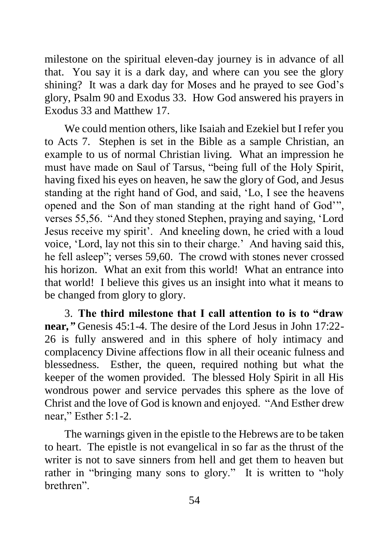milestone on the spiritual eleven-day journey is in advance of all that. You say it is a dark day, and where can you see the glory shining? It was a dark day for Moses and he prayed to see God's glory, Psalm 90 and Exodus 33. How God answered his prayers in Exodus 33 and Matthew 17.

We could mention others, like Isaiah and Ezekiel but I refer you to Acts 7. Stephen is set in the Bible as a sample Christian, an example to us of normal Christian living. What an impression he must have made on Saul of Tarsus, "being full of the Holy Spirit, having fixed his eyes on heaven, he saw the glory of God, and Jesus standing at the right hand of God, and said, 'Lo, I see the heavens opened and the Son of man standing at the right hand of God'", verses 55,56. "And they stoned Stephen, praying and saying, 'Lord Jesus receive my spirit'. And kneeling down, he cried with a loud voice, 'Lord, lay not this sin to their charge.' And having said this, he fell asleep"; verses 59,60. The crowd with stones never crossed his horizon. What an exit from this world! What an entrance into that world! I believe this gives us an insight into what it means to be changed from glory to glory.

3. **The third milestone that I call attention to is to "draw near***,"* Genesis 45:1-4. The desire of the Lord Jesus in John 17:22- 26 is fully answered and in this sphere of holy intimacy and complacency Divine affections flow in all their oceanic fulness and blessedness. Esther, the queen, required nothing but what the keeper of the women provided. The blessed Holy Spirit in all His wondrous power and service pervades this sphere as the love of Christ and the love of God is known and enjoyed. "And Esther drew near," Esther 5:1-2.

The warnings given in the epistle to the Hebrews are to be taken to heart. The epistle is not evangelical in so far as the thrust of the writer is not to save sinners from hell and get them to heaven but rather in "bringing many sons to glory." It is written to "holy brethren".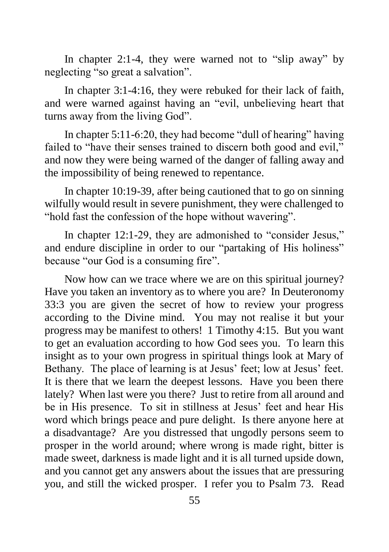In chapter 2:1-4, they were warned not to "slip away" by neglecting "so great a salvation".

In chapter 3:1-4:16, they were rebuked for their lack of faith, and were warned against having an "evil, unbelieving heart that turns away from the living God".

In chapter 5:11-6:20, they had become "dull of hearing" having failed to "have their senses trained to discern both good and evil," and now they were being warned of the danger of falling away and the impossibility of being renewed to repentance.

In chapter 10:19-39, after being cautioned that to go on sinning wilfully would result in severe punishment, they were challenged to "hold fast the confession of the hope without wavering".

In chapter 12:1-29, they are admonished to "consider Jesus," and endure discipline in order to our "partaking of His holiness" because "our God is a consuming fire".

Now how can we trace where we are on this spiritual journey? Have you taken an inventory as to where you are? In Deuteronomy 33:3 you are given the secret of how to review your progress according to the Divine mind. You may not realise it but your progress may be manifest to others! 1 Timothy 4:15. But you want to get an evaluation according to how God sees you. To learn this insight as to your own progress in spiritual things look at Mary of Bethany. The place of learning is at Jesus' feet; low at Jesus' feet. It is there that we learn the deepest lessons. Have you been there lately? When last were you there? Just to retire from all around and be in His presence. To sit in stillness at Jesus' feet and hear His word which brings peace and pure delight. Is there anyone here at a disadvantage? Are you distressed that ungodly persons seem to prosper in the world around; where wrong is made right, bitter is made sweet, darkness is made light and it is all turned upside down, and you cannot get any answers about the issues that are pressuring you, and still the wicked prosper. I refer you to Psalm 73. Read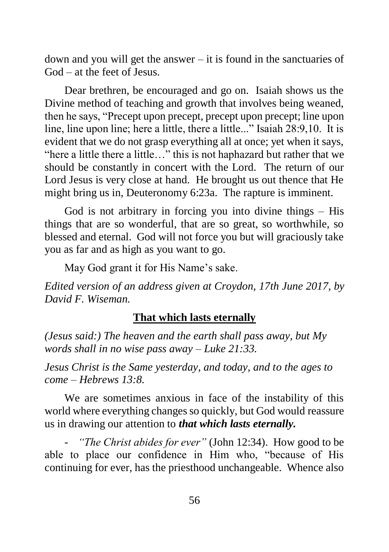down and you will get the answer – it is found in the sanctuaries of God – at the feet of Jesus.

Dear brethren, be encouraged and go on. Isaiah shows us the Divine method of teaching and growth that involves being weaned, then he says, "Precept upon precept, precept upon precept; line upon line, line upon line; here a little, there a little..." Isaiah 28:9,10. It is evident that we do not grasp everything all at once; yet when it says, "here a little there a little…" this is not haphazard but rather that we should be constantly in concert with the Lord. The return of our Lord Jesus is very close at hand. He brought us out thence that He might bring us in, Deuteronomy 6:23a. The rapture is imminent.

God is not arbitrary in forcing you into divine things – His things that are so wonderful, that are so great, so worthwhile, so blessed and eternal. God will not force you but will graciously take you as far and as high as you want to go.

May God grant it for His Name's sake.

*Edited version of an address given at Croydon, 17th June 2017, by David F. Wiseman.*

## **That which lasts eternally**

*(Jesus said:) The heaven and the earth shall pass away, but My words shall in no wise pass away – Luke 21:33.*

*Jesus Christ is the Same yesterday, and today, and to the ages to come – Hebrews 13:8.*

We are sometimes anxious in face of the instability of this world where everything changes so quickly, but God would reassure us in drawing our attention to *that which lasts eternally.*

*"The Christ abides for ever"* (John 12:34). How good to be able to place our confidence in Him who, "because of His continuing for ever, has the priesthood unchangeable. Whence also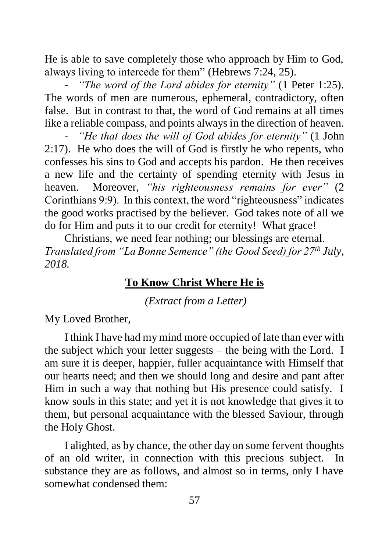He is able to save completely those who approach by Him to God, always living to intercede for them" (Hebrews 7:24, 25).

"The word of the Lord abides for eternity" (1 Peter 1:25). The words of men are numerous, ephemeral, contradictory, often false. But in contrast to that, the word of God remains at all times like a reliable compass, and points always in the direction of heaven.

- *"He that does the will of God abides for eternity"* (1 John 2:17). He who does the will of God is firstly he who repents, who confesses his sins to God and accepts his pardon. He then receives a new life and the certainty of spending eternity with Jesus in heaven. Moreover, *"his righteousness remains for ever"* (2 Corinthians 9:9). In this context, the word "righteousness" indicates the good works practised by the believer. God takes note of all we do for Him and puts it to our credit for eternity! What grace!

Christians, we need fear nothing; our blessings are eternal. *Translated from "La Bonne Semence" (the Good Seed) for 27th July, 2018.*

## **To Know Christ Where He is**

*(Extract from a Letter)*

My Loved Brother,

I think I have had my mind more occupied of late than ever with the subject which your letter suggests – the being with the Lord. I am sure it is deeper, happier, fuller acquaintance with Himself that our hearts need; and then we should long and desire and pant after Him in such a way that nothing but His presence could satisfy. I know souls in this state; and yet it is not knowledge that gives it to them, but personal acquaintance with the blessed Saviour, through the Holy Ghost.

I alighted, as by chance, the other day on some fervent thoughts of an old writer, in connection with this precious subject. In substance they are as follows, and almost so in terms, only I have somewhat condensed them: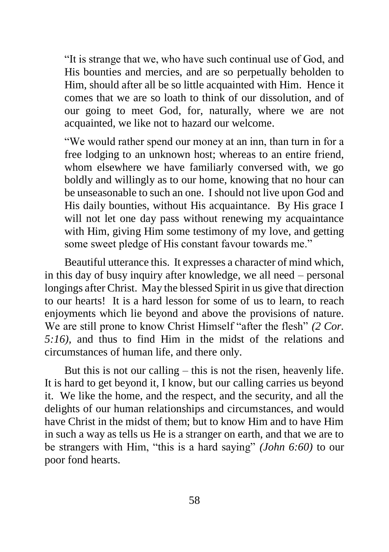"It is strange that we, who have such continual use of God, and His bounties and mercies, and are so perpetually beholden to Him, should after all be so little acquainted with Him. Hence it comes that we are so loath to think of our dissolution, and of our going to meet God, for, naturally, where we are not acquainted, we like not to hazard our welcome.

"We would rather spend our money at an inn, than turn in for a free lodging to an unknown host; whereas to an entire friend, whom elsewhere we have familiarly conversed with, we go boldly and willingly as to our home, knowing that no hour can be unseasonable to such an one. I should not live upon God and His daily bounties, without His acquaintance. By His grace I will not let one day pass without renewing my acquaintance with Him, giving Him some testimony of my love, and getting some sweet pledge of His constant favour towards me."

Beautiful utterance this. It expresses a character of mind which, in this day of busy inquiry after knowledge, we all need – personal longings after Christ. May the blessed Spirit in us give that direction to our hearts! It is a hard lesson for some of us to learn, to reach enjoyments which lie beyond and above the provisions of nature. We are still prone to know Christ Himself "after the flesh" *(2 Cor. 5:16),* and thus to find Him in the midst of the relations and circumstances of human life, and there only.

But this is not our calling – this is not the risen, heavenly life. It is hard to get beyond it, I know, but our calling carries us beyond it. We like the home, and the respect, and the security, and all the delights of our human relationships and circumstances, and would have Christ in the midst of them; but to know Him and to have Him in such a way as tells us He is a stranger on earth, and that we are to be strangers with Him, "this is a hard saying" *(John 6:60)* to our poor fond hearts.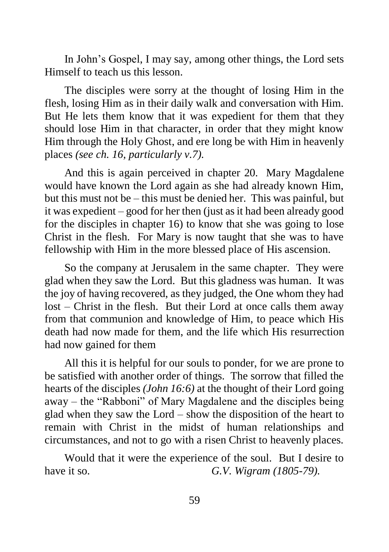In John's Gospel, I may say, among other things, the Lord sets Himself to teach us this lesson.

The disciples were sorry at the thought of losing Him in the flesh, losing Him as in their daily walk and conversation with Him. But He lets them know that it was expedient for them that they should lose Him in that character, in order that they might know Him through the Holy Ghost, and ere long be with Him in heavenly places *(see ch. 16, particularly v.7).*

And this is again perceived in chapter 20. Mary Magdalene would have known the Lord again as she had already known Him, but this must not be – this must be denied her. This was painful, but it was expedient – good for her then (just as it had been already good for the disciples in chapter 16) to know that she was going to lose Christ in the flesh. For Mary is now taught that she was to have fellowship with Him in the more blessed place of His ascension.

So the company at Jerusalem in the same chapter. They were glad when they saw the Lord. But this gladness was human. It was the joy of having recovered, as they judged, the One whom they had lost – Christ in the flesh. But their Lord at once calls them away from that communion and knowledge of Him, to peace which His death had now made for them, and the life which His resurrection had now gained for them

All this it is helpful for our souls to ponder, for we are prone to be satisfied with another order of things. The sorrow that filled the hearts of the disciples *(John 16:6)* at the thought of their Lord going away – the "Rabboni" of Mary Magdalene and the disciples being glad when they saw the Lord – show the disposition of the heart to remain with Christ in the midst of human relationships and circumstances, and not to go with a risen Christ to heavenly places.

Would that it were the experience of the soul. But I desire to have it so. *G.V. Wigram (1805-79).*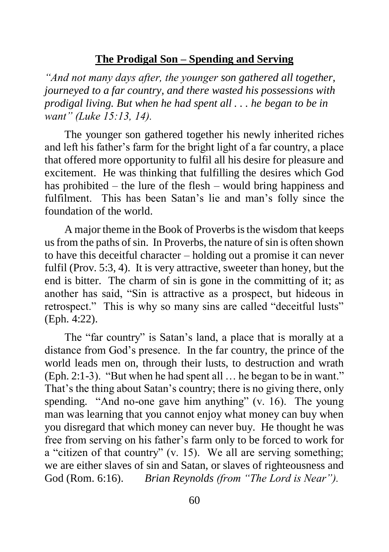### **The Prodigal Son – Spending and Serving**

*"And not many days after, the younger son gathered all together, journeyed to a far country, and there wasted his possessions with prodigal living. But when he had spent all . . . he began to be in want" (Luke 15:13, 14).*

The younger son gathered together his newly inherited riches and left his father's farm for the bright light of a far country, a place that offered more opportunity to fulfil all his desire for pleasure and excitement. He was thinking that fulfilling the desires which God has prohibited – the lure of the flesh – would bring happiness and fulfilment. This has been Satan's lie and man's folly since the foundation of the world.

A major theme in the Book of Proverbs is the wisdom that keeps us from the paths of sin. In Proverbs, the nature of sin is often shown to have this deceitful character – holding out a promise it can never fulfil (Prov. 5:3, 4). It is very attractive, sweeter than honey, but the end is bitter. The charm of sin is gone in the committing of it; as another has said, "Sin is attractive as a prospect, but hideous in retrospect." This is why so many sins are called "deceitful lusts" (Eph. 4:22).

The "far country" is Satan's land, a place that is morally at a distance from God's presence. In the far country, the prince of the world leads men on, through their lusts, to destruction and wrath (Eph. 2:1-3). "But when he had spent all … he began to be in want." That's the thing about Satan's country; there is no giving there, only spending. "And no-one gave him anything" (v. 16). The young man was learning that you cannot enjoy what money can buy when you disregard that which money can never buy. He thought he was free from serving on his father's farm only to be forced to work for a "citizen of that country" (v. 15). We all are serving something; we are either slaves of sin and Satan, or slaves of righteousness and God (Rom. 6:16). *Brian Reynolds (from "The Lord is Near").*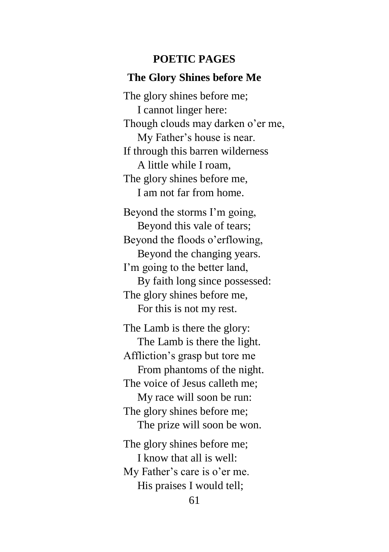#### **POETIC PAGES**

#### **The Glory Shines before Me**

The glory shines before me; I cannot linger here: Though clouds may darken o'er me, My Father's house is near. If through this barren wilderness A little while I roam, The glory shines before me, I am not far from home.

Beyond the storms I'm going, Beyond this vale of tears; Beyond the floods o'erflowing, Beyond the changing years. I'm going to the better land, By faith long since possessed: The glory shines before me, For this is not my rest.

The Lamb is there the glory: The Lamb is there the light. Affliction's grasp but tore me From phantoms of the night. The voice of Jesus calleth me; My race will soon be run: The glory shines before me; The prize will soon be won. The glory shines before me; I know that all is well: My Father's care is o'er me.

His praises I would tell;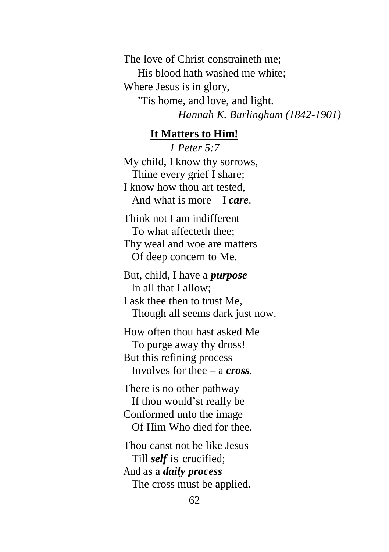The love of Christ constraineth me; His blood hath washed me white; Where Jesus is in glory, 'Tis home, and love, and light. *Hannah K. Burlingham (1842-1901)*

#### **It Matters to Him!**

*1 Peter 5:7* My child, I know thy sorrows, Thine every grief I share; I know how thou art tested, And what is more – I *care*.

Think not I am indifferent To what affecteth thee; Thy weal and woe are matters Of deep concern to Me.

But, child, I have a *purpose* ln all that I allow;

I ask thee then to trust Me, Though all seems dark just now.

How often thou hast asked Me To purge away thy dross! But this refining process Involves for thee – a *cross*.

There is no other pathway If thou would'st really be Conformed unto the image Of Him Who died for thee.

Thou canst not be like Jesus Till *self* is crucified; And as a *daily process* The cross must be applied.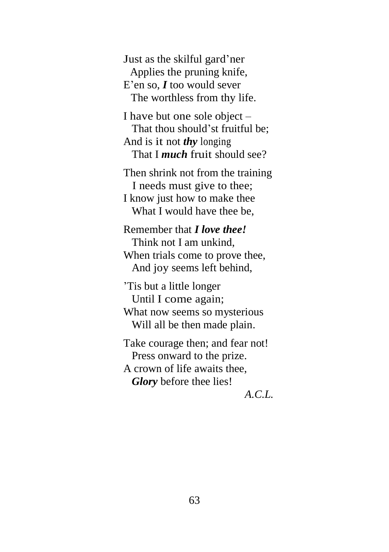Just as the skilful gard'ner Applies the pruning knife, E'en so, *I* too would sever The worthless from thy life.

I have but one sole object – That thou should'st fruitful be; And is it not *thy* longing That I *much* fruit should see?

Then shrink not from the training I needs must give to thee; I know just how to make thee What I would have thee be,

Remember that *I love thee!* Think not I am unkind, When trials come to prove thee, And joy seems left behind,

'Tis but a little longer Until I come again; What now seems so mysterious Will all be then made plain.

Take courage then; and fear not! Press onward to the prize. A crown of life awaits thee, *Glory* before thee lies!

*A.C.L.*